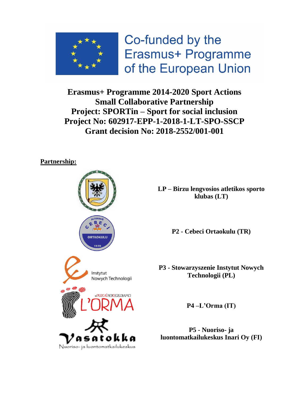

Co-funded by the Erasmus+ Programme of the European Union

**Erasmus+ Programme 2014-2020 Sport Actions Small Collaborative Partnership Project: SPORTin – Sport for social inclusion Project No: 602917-EPP-1-2018-1-LT-SPO-SSCP Grant decision No: 2018-2552/001-001**

# **Partnership:**



**LP – Birzu lengvosios atletikos sporto klubas (LT)**

**P2 - Cebeci Ortaokulu (TR)**

**P3 - Stowarzyszenie Instytut Nowych Technologii (PL)**

**P4 –L'Orma (IT)**

**P5 - Nuoriso- ja luontomatkailukeskus Inari Oy (FI)**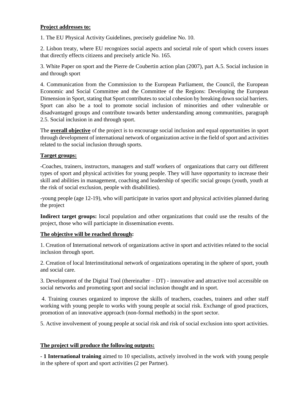#### **Project addresses to:**

1. The EU Physical Activity Guidelines, precisely guideline No. 10.

2. Lisbon treaty, where EU recognizes social aspects and societal role of sport which covers issues that directly effects citizens and precisely article No. 165.

3. White Paper on sport and the Pierre de Coubertin action plan (2007), part A.5. Social inclusion in and through sport

4. Communication from the Commission to the European Parliament, the Council, the European Economic and Social Committee and the Committee of the Regions: Developing the European Dimension in Sport, stating that Sport contributes to social cohesion by breaking down social barriers. Sport can also be a tool to promote social inclusion of minorities and other vulnerable or disadvantaged groups and contribute towards better understanding among communities, paragraph 2.5. Social inclusion in and through sport.

The **overall objective** of the project is to encourage social inclusion and equal opportunities in sport through development of international network of organization active in the field of sport and activities related to the social inclusion through sports.

### **Target groups:**

-Coaches, trainers, instructors, managers and staff workers of organizations that carry out different types of sport and physical activities for young people. They will have opportunity to increase their skill and abilities in management, coaching and leadership of specific social groups (youth, youth at the risk of social exclusion, people with disabilities).

-young people (age 12-19), who will participate in varios sport and physical activities planned during the project

**Indirect target groups:** local population and other organizations that could use the results of the project, those who will particiapte in dissemination events.

## **The objective will be reached through:**

1. Creation of International network of organizations active in sport and activities related to the social inclusion through sport.

2. Creation of local Interinstitutional network of organizations operating in the sphere of sport, youth and social care.

3. Development of the Digital Tool (thereinafter – DT) - innovative and attractive tool accessible on social networks and promoting sport and social inclusion thought and in sport.

4. Training courses organized to improve the skills of teachers, coaches, trainers and other staff working with young people to works with young people at social risk. Exchange of good practices, promotion of an innovative approach (non-formal methods) in the sport sector.

5. Active involvement of young people at social risk and risk of social exclusion into sport activities.

#### **The project will produce the following outputs:**

- **1 International training** aimed to 10 specialists, actively involved in the work with young people in the sphere of sport and sport activities (2 per Partner).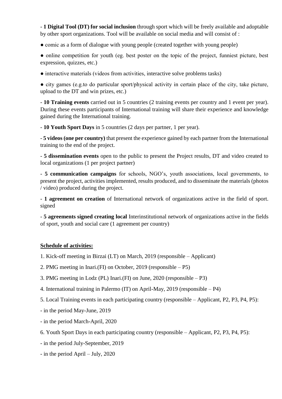- **1 Digital Tool (DT) for social inclusion** through sport which will be freely available and adoptable by other sport organizations. Tool will be available on social media and will consist of :

• comic as a form of dialogue with young people (created together with young people)

• online competition for youth (eg. best poster on the topic of the project, funniest picture, best expression, quizzes, etc.)

● interactive materials (videos from activities, interactive solve problems tasks)

● city games (e.g.to do particular sport/physical activity in certain place of the city, take picture, upload to the DT and win prizes, etc.)

- **10 Training events** carried out in 5 countries (2 training events per country and 1 event per year). During these events participants of International training will share their experience and knowledge gained during the International training.

- **10 Youth Sport Days** in 5 countries (2 days per partner, 1 per year).

- **5 videos (one per country)** that present the experience gained by each partner from the International training to the end of the project.

- **5 dissemination events** open to the public to present the Project results, DT and video created to local organizations (1 per project partner)

- **5 communication campaigns** for schools, NGO's, youth associations, local governments, to present the project, activities implemented, results produced, and to disseminate the materials (photos / video) produced during the project.

- **1 agreement on creation** of International network of organizations active in the field of sport. signed

- **5 agreements signed creating local** Interinstitutional network of organizations active in the fields of sport, youth and social care (1 agreement per country)

## **Schedule of activities:**

- 1. Kick-off meeting in Birzai (LT) on March, 2019 (responsible Applicant)
- 2. PMG meeting in Inari.(FI) on October, 2019 (responsible P5)
- 3. PMG meeting in Lodz (PL) Inari.(FI) on June, 2020 (responsible P3)
- 4. International training in Palermo (IT) on April-May, 2019 (responsible P4)
- 5. Local Training events in each participating country (responsible Applicant, P2, P3, P4, P5):
- in the period May-June, 2019
- in the period March-April, 2020
- 6. Youth Sport Days in each participating country (responsible Applicant, P2, P3, P4, P5):
- in the period July-September, 2019
- in the period April July, 2020